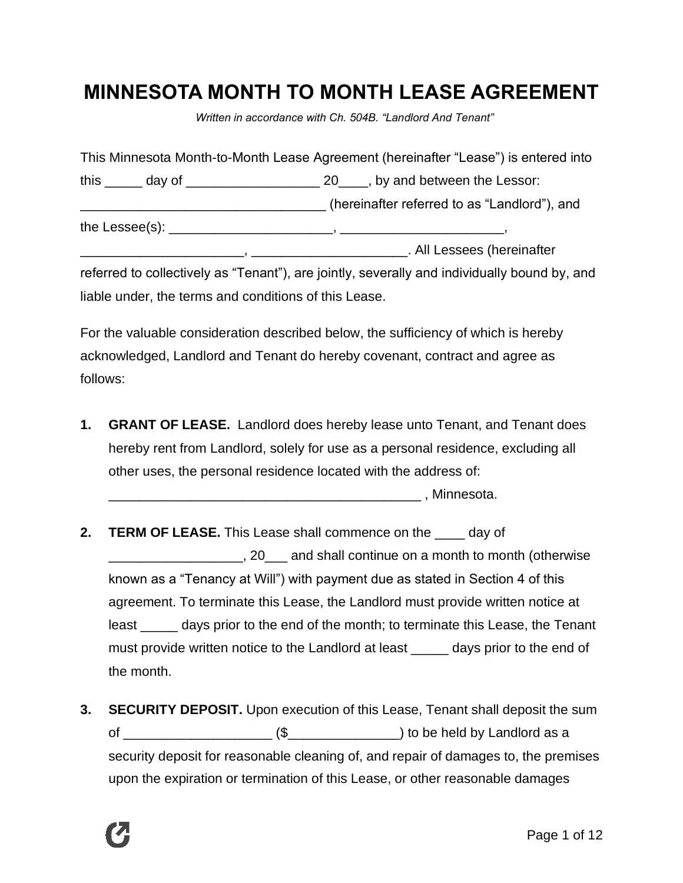# **MINNESOTA MONTH TO MONTH LEASE AGREEMENT**

*Written in accordance with Ch. 504B. "Landlord And Tenant"*

|  | This Minnesota Month-to-Month Lease Agreement (hereinafter "Lease") is entered into |
|--|-------------------------------------------------------------------------------------|
|  |                                                                                     |
|  | (hereinafter referred to as "Landlord"), and                                        |
|  | the Lessee(s): $\qquad \qquad$                                                      |
|  | . All Lessees (hereinafter                                                          |

referred to collectively as "Tenant"), are jointly, severally and individually bound by, and liable under, the terms and conditions of this Lease.

For the valuable consideration described below, the sufficiency of which is hereby acknowledged, Landlord and Tenant do hereby covenant, contract and agree as follows:

**1. GRANT OF LEASE.** Landlord does hereby lease unto Tenant, and Tenant does hereby rent from Landlord, solely for use as a personal residence, excluding all other uses, the personal residence located with the address of:

\_\_\_\_\_\_\_\_\_\_\_\_\_\_\_\_\_\_\_\_\_\_\_\_\_\_\_\_\_\_\_\_\_\_\_\_\_\_\_\_\_\_ , Minnesota.

- **2. TERM OF LEASE.** This Lease shall commence on the \_\_\_\_ day of \_\_\_\_\_\_\_\_\_\_\_\_\_\_\_\_\_\_, 20\_\_\_ and shall continue on a month to month (otherwise known as a "Tenancy at Will") with payment due as stated in Section 4 of this agreement. To terminate this Lease, the Landlord must provide written notice at least \_\_\_\_\_ days prior to the end of the month; to terminate this Lease, the Tenant must provide written notice to the Landlord at least \_\_\_\_\_ days prior to the end of the month.
- **3. SECURITY DEPOSIT.** Upon execution of this Lease, Tenant shall deposit the sum of  $\frac{1}{\sqrt{2}}$  (\$ $\frac{1}{\sqrt{2}}$ ) to be held by Landlord as a security deposit for reasonable cleaning of, and repair of damages to, the premises upon the expiration or termination of this Lease, or other reasonable damages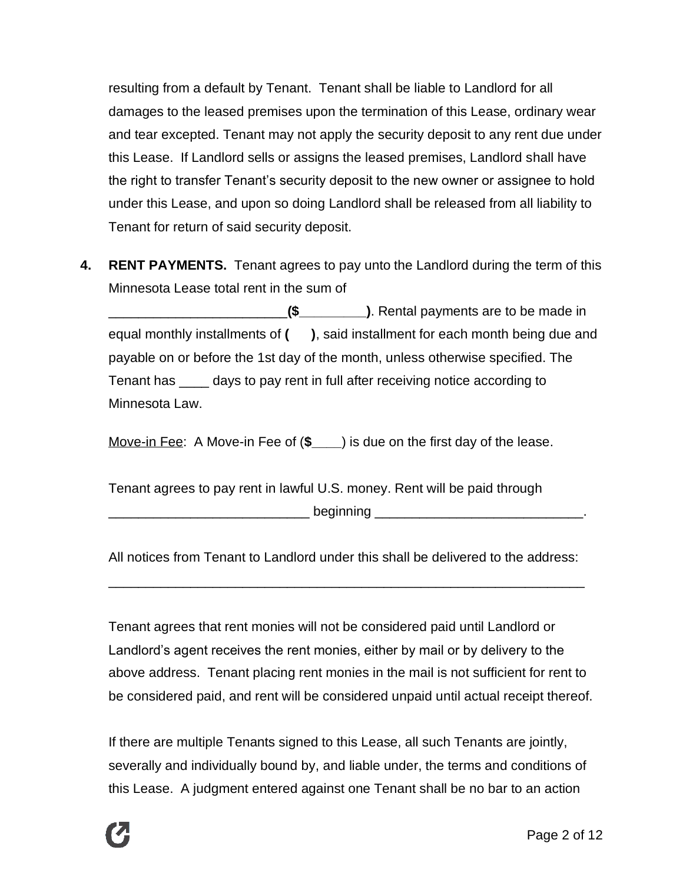resulting from a default by Tenant. Tenant shall be liable to Landlord for all damages to the leased premises upon the termination of this Lease, ordinary wear and tear excepted. Tenant may not apply the security deposit to any rent due under this Lease. If Landlord sells or assigns the leased premises, Landlord shall have the right to transfer Tenant's security deposit to the new owner or assignee to hold under this Lease, and upon so doing Landlord shall be released from all liability to Tenant for return of said security deposit.

**4. RENT PAYMENTS.** Tenant agrees to pay unto the Landlord during the term of this Minnesota Lease total rent in the sum of

\_\_\_\_\_\_\_\_\_\_\_\_\_\_\_\_\_\_\_\_\_\_\_\_**(\$\_\_\_\_\_\_\_\_\_)**. Rental payments are to be made in equal monthly installments of **( )**, said installment for each month being due and payable on or before the 1st day of the month, unless otherwise specified. The Tenant has \_\_\_\_ days to pay rent in full after receiving notice according to Minnesota Law.

Move-in Fee: A Move-in Fee of (**\$\_\_\_\_**) is due on the first day of the lease.

Tenant agrees to pay rent in lawful U.S. money. Rent will be paid through  $beginingsmall} \nbegin{smallmatrix}\n \text{begin} 1\end{smallmatrix} \end{smallmatrix}$ 

All notices from Tenant to Landlord under this shall be delivered to the address:

\_\_\_\_\_\_\_\_\_\_\_\_\_\_\_\_\_\_\_\_\_\_\_\_\_\_\_\_\_\_\_\_\_\_\_\_\_\_\_\_\_\_\_\_\_\_\_\_\_\_\_\_\_\_\_\_\_\_\_\_\_\_\_\_

Tenant agrees that rent monies will not be considered paid until Landlord or Landlord's agent receives the rent monies, either by mail or by delivery to the above address. Tenant placing rent monies in the mail is not sufficient for rent to be considered paid, and rent will be considered unpaid until actual receipt thereof.

If there are multiple Tenants signed to this Lease, all such Tenants are jointly, severally and individually bound by, and liable under, the terms and conditions of this Lease. A judgment entered against one Tenant shall be no bar to an action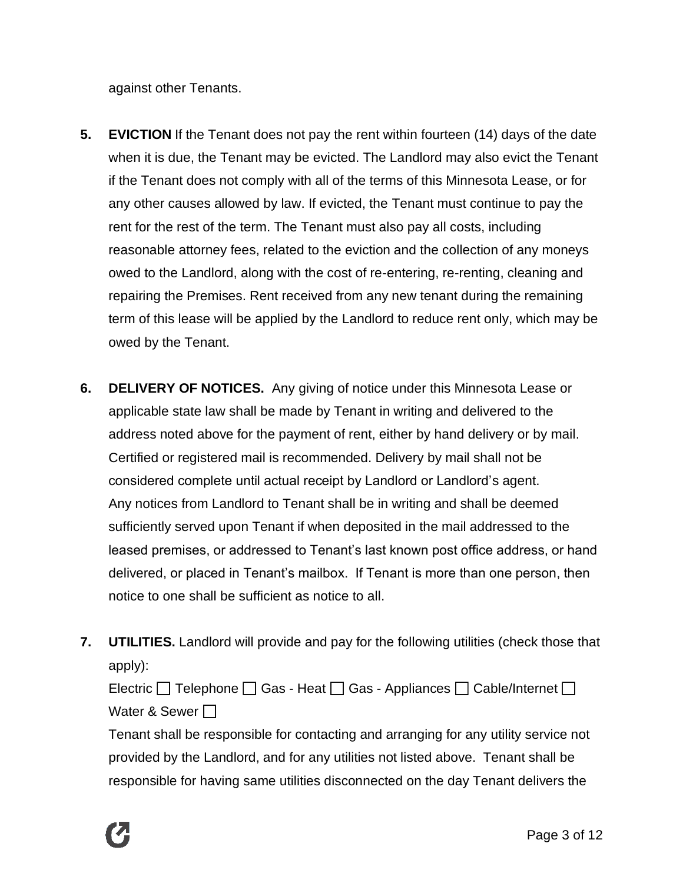against other Tenants.

- **5. EVICTION** If the Tenant does not pay the rent within fourteen (14) days of the date when it is due, the Tenant may be evicted. The Landlord may also evict the Tenant if the Tenant does not comply with all of the terms of this Minnesota Lease, or for any other causes allowed by law. If evicted, the Tenant must continue to pay the rent for the rest of the term. The Tenant must also pay all costs, including reasonable attorney fees, related to the eviction and the collection of any moneys owed to the Landlord, along with the cost of re-entering, re-renting, cleaning and repairing the Premises. Rent received from any new tenant during the remaining term of this lease will be applied by the Landlord to reduce rent only, which may be owed by the Tenant.
- **6. DELIVERY OF NOTICES.** Any giving of notice under this Minnesota Lease or applicable state law shall be made by Tenant in writing and delivered to the address noted above for the payment of rent, either by hand delivery or by mail. Certified or registered mail is recommended. Delivery by mail shall not be considered complete until actual receipt by Landlord or Landlord's agent. Any notices from Landlord to Tenant shall be in writing and shall be deemed sufficiently served upon Tenant if when deposited in the mail addressed to the leased premises, or addressed to Tenant's last known post office address, or hand delivered, or placed in Tenant's mailbox. If Tenant is more than one person, then notice to one shall be sufficient as notice to all.
- **7. UTILITIES.** Landlord will provide and pay for the following utilities (check those that apply):

Electric  $\Box$  Telephone  $\Box$  Gas - Heat  $\Box$  Gas - Appliances  $\Box$  Cable/Internet  $\Box$ Water & Sewer  $\Box$ 

Tenant shall be responsible for contacting and arranging for any utility service not provided by the Landlord, and for any utilities not listed above. Tenant shall be responsible for having same utilities disconnected on the day Tenant delivers the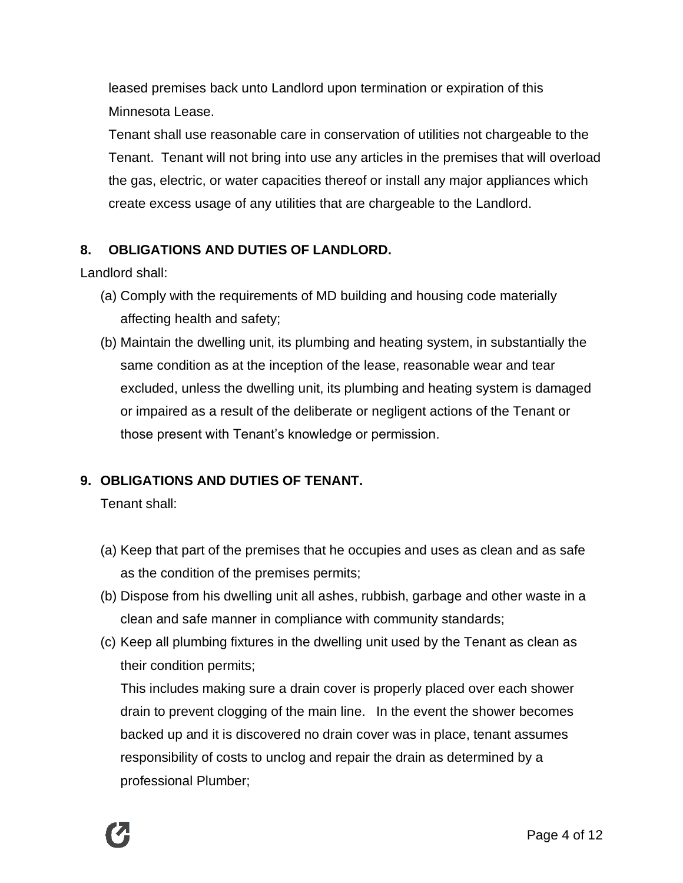leased premises back unto Landlord upon termination or expiration of this Minnesota Lease.

Tenant shall use reasonable care in conservation of utilities not chargeable to the Tenant. Tenant will not bring into use any articles in the premises that will overload the gas, electric, or water capacities thereof or install any major appliances which create excess usage of any utilities that are chargeable to the Landlord.

# **8. OBLIGATIONS AND DUTIES OF LANDLORD.**

Landlord shall:

- (a) Comply with the requirements of MD building and housing code materially affecting health and safety;
- (b) Maintain the dwelling unit, its plumbing and heating system, in substantially the same condition as at the inception of the lease, reasonable wear and tear excluded, unless the dwelling unit, its plumbing and heating system is damaged or impaired as a result of the deliberate or negligent actions of the Tenant or those present with Tenant's knowledge or permission.

# **9. OBLIGATIONS AND DUTIES OF TENANT.**

Tenant shall:

- (a) Keep that part of the premises that he occupies and uses as clean and as safe as the condition of the premises permits;
- (b) Dispose from his dwelling unit all ashes, rubbish, garbage and other waste in a clean and safe manner in compliance with community standards;
- (c) Keep all plumbing fixtures in the dwelling unit used by the Tenant as clean as their condition permits;

This includes making sure a drain cover is properly placed over each shower drain to prevent clogging of the main line. In the event the shower becomes backed up and it is discovered no drain cover was in place, tenant assumes responsibility of costs to unclog and repair the drain as determined by a professional Plumber;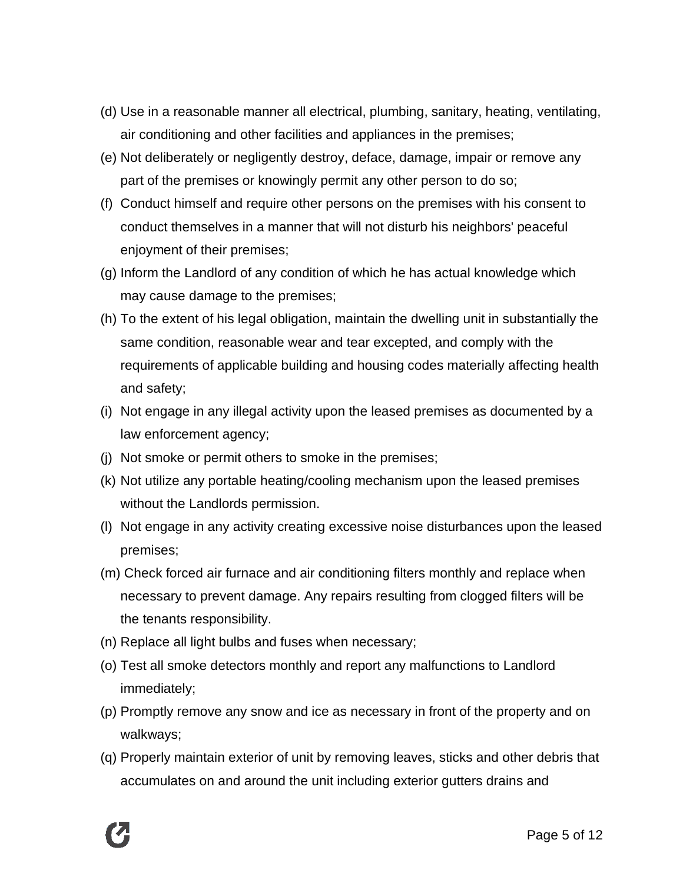- (d) Use in a reasonable manner all electrical, plumbing, sanitary, heating, ventilating, air conditioning and other facilities and appliances in the premises;
- (e) Not deliberately or negligently destroy, deface, damage, impair or remove any part of the premises or knowingly permit any other person to do so;
- (f) Conduct himself and require other persons on the premises with his consent to conduct themselves in a manner that will not disturb his neighbors' peaceful enjoyment of their premises;
- (g) Inform the Landlord of any condition of which he has actual knowledge which may cause damage to the premises;
- (h) To the extent of his legal obligation, maintain the dwelling unit in substantially the same condition, reasonable wear and tear excepted, and comply with the requirements of applicable building and housing codes materially affecting health and safety;
- (i) Not engage in any illegal activity upon the leased premises as documented by a law enforcement agency;
- (j) Not smoke or permit others to smoke in the premises;
- (k) Not utilize any portable heating/cooling mechanism upon the leased premises without the Landlords permission.
- (l) Not engage in any activity creating excessive noise disturbances upon the leased premises;
- (m) Check forced air furnace and air conditioning filters monthly and replace when necessary to prevent damage. Any repairs resulting from clogged filters will be the tenants responsibility.
- (n) Replace all light bulbs and fuses when necessary;
- (o) Test all smoke detectors monthly and report any malfunctions to Landlord immediately;
- (p) Promptly remove any snow and ice as necessary in front of the property and on walkways;
- (q) Properly maintain exterior of unit by removing leaves, sticks and other debris that accumulates on and around the unit including exterior gutters drains and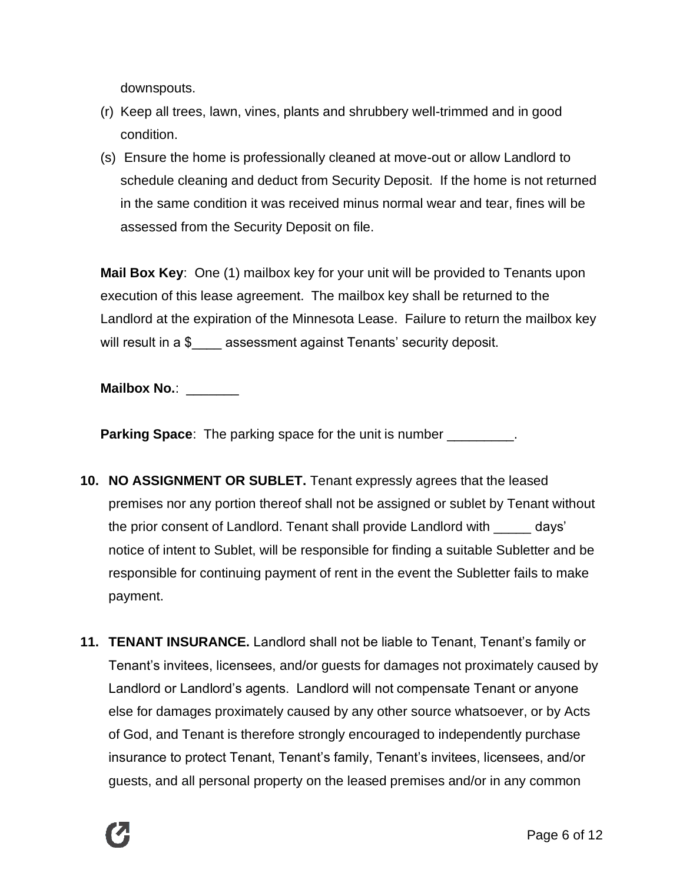downspouts.

- (r) Keep all trees, lawn, vines, plants and shrubbery well-trimmed and in good condition.
- (s) Ensure the home is professionally cleaned at move-out or allow Landlord to schedule cleaning and deduct from Security Deposit. If the home is not returned in the same condition it was received minus normal wear and tear, fines will be assessed from the Security Deposit on file.

**Mail Box Key**: One (1) mailbox key for your unit will be provided to Tenants upon execution of this lease agreement. The mailbox key shall be returned to the Landlord at the expiration of the Minnesota Lease. Failure to return the mailbox key will result in a \$ \_\_\_\_ assessment against Tenants' security deposit.

**Mailbox No.:** 

**Parking Space**: The parking space for the unit is number \_\_\_\_\_\_\_\_\_.

- **10. NO ASSIGNMENT OR SUBLET.** Tenant expressly agrees that the leased premises nor any portion thereof shall not be assigned or sublet by Tenant without the prior consent of Landlord. Tenant shall provide Landlord with \_\_\_\_\_ days' notice of intent to Sublet, will be responsible for finding a suitable Subletter and be responsible for continuing payment of rent in the event the Subletter fails to make payment.
- **11. TENANT INSURANCE.** Landlord shall not be liable to Tenant, Tenant's family or Tenant's invitees, licensees, and/or guests for damages not proximately caused by Landlord or Landlord's agents. Landlord will not compensate Tenant or anyone else for damages proximately caused by any other source whatsoever, or by Acts of God, and Tenant is therefore strongly encouraged to independently purchase insurance to protect Tenant, Tenant's family, Tenant's invitees, licensees, and/or guests, and all personal property on the leased premises and/or in any common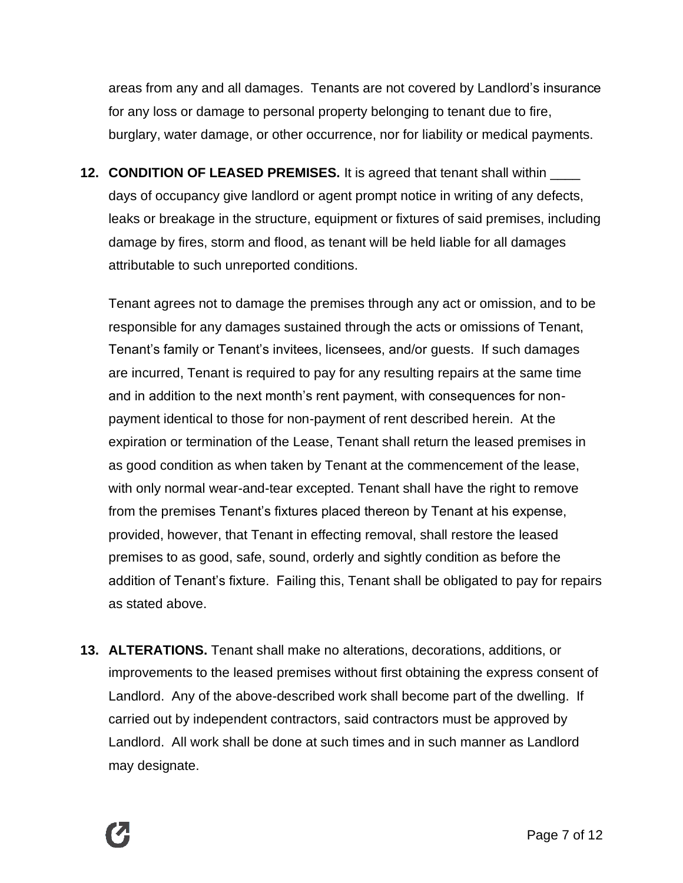areas from any and all damages. Tenants are not covered by Landlord's insurance for any loss or damage to personal property belonging to tenant due to fire, burglary, water damage, or other occurrence, nor for liability or medical payments.

**12. CONDITION OF LEASED PREMISES.** It is agreed that tenant shall within \_\_\_\_ days of occupancy give landlord or agent prompt notice in writing of any defects, leaks or breakage in the structure, equipment or fixtures of said premises, including damage by fires, storm and flood, as tenant will be held liable for all damages attributable to such unreported conditions.

Tenant agrees not to damage the premises through any act or omission, and to be responsible for any damages sustained through the acts or omissions of Tenant, Tenant's family or Tenant's invitees, licensees, and/or guests. If such damages are incurred, Tenant is required to pay for any resulting repairs at the same time and in addition to the next month's rent payment, with consequences for nonpayment identical to those for non-payment of rent described herein. At the expiration or termination of the Lease, Tenant shall return the leased premises in as good condition as when taken by Tenant at the commencement of the lease, with only normal wear-and-tear excepted. Tenant shall have the right to remove from the premises Tenant's fixtures placed thereon by Tenant at his expense, provided, however, that Tenant in effecting removal, shall restore the leased premises to as good, safe, sound, orderly and sightly condition as before the addition of Tenant's fixture. Failing this, Tenant shall be obligated to pay for repairs as stated above.

**13. ALTERATIONS.** Tenant shall make no alterations, decorations, additions, or improvements to the leased premises without first obtaining the express consent of Landlord. Any of the above-described work shall become part of the dwelling. If carried out by independent contractors, said contractors must be approved by Landlord. All work shall be done at such times and in such manner as Landlord may designate.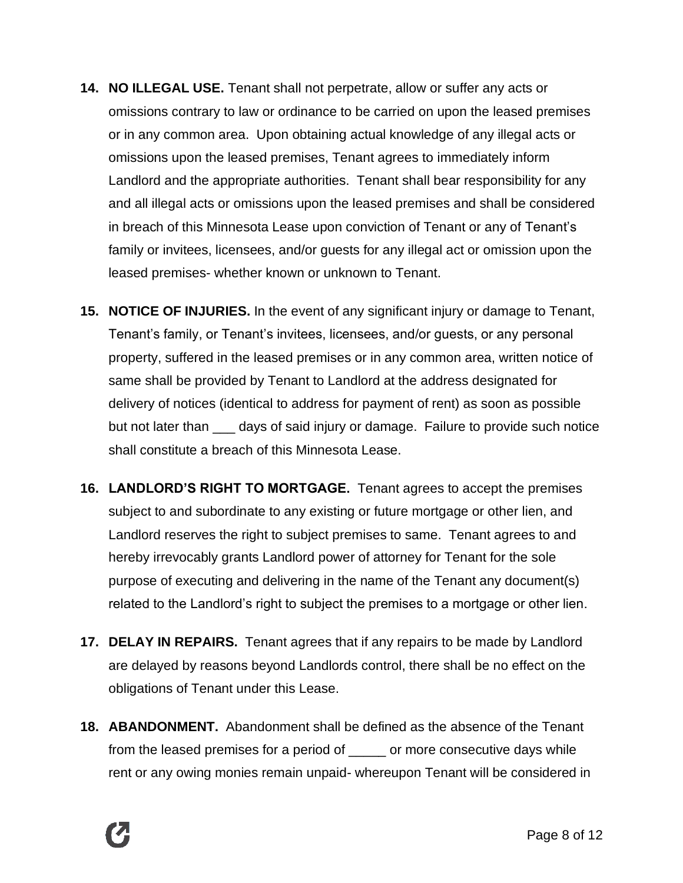- **14. NO ILLEGAL USE.** Tenant shall not perpetrate, allow or suffer any acts or omissions contrary to law or ordinance to be carried on upon the leased premises or in any common area. Upon obtaining actual knowledge of any illegal acts or omissions upon the leased premises, Tenant agrees to immediately inform Landlord and the appropriate authorities. Tenant shall bear responsibility for any and all illegal acts or omissions upon the leased premises and shall be considered in breach of this Minnesota Lease upon conviction of Tenant or any of Tenant's family or invitees, licensees, and/or guests for any illegal act or omission upon the leased premises- whether known or unknown to Tenant.
- **15. NOTICE OF INJURIES.** In the event of any significant injury or damage to Tenant, Tenant's family, or Tenant's invitees, licensees, and/or guests, or any personal property, suffered in the leased premises or in any common area, written notice of same shall be provided by Tenant to Landlord at the address designated for delivery of notices (identical to address for payment of rent) as soon as possible but not later than days of said injury or damage. Failure to provide such notice shall constitute a breach of this Minnesota Lease.
- **16. LANDLORD'S RIGHT TO MORTGAGE.** Tenant agrees to accept the premises subject to and subordinate to any existing or future mortgage or other lien, and Landlord reserves the right to subject premises to same. Tenant agrees to and hereby irrevocably grants Landlord power of attorney for Tenant for the sole purpose of executing and delivering in the name of the Tenant any document(s) related to the Landlord's right to subject the premises to a mortgage or other lien.
- **17. DELAY IN REPAIRS.** Tenant agrees that if any repairs to be made by Landlord are delayed by reasons beyond Landlords control, there shall be no effect on the obligations of Tenant under this Lease.
- **18. ABANDONMENT.** Abandonment shall be defined as the absence of the Tenant from the leased premises for a period of \_\_\_\_\_ or more consecutive days while rent or any owing monies remain unpaid- whereupon Tenant will be considered in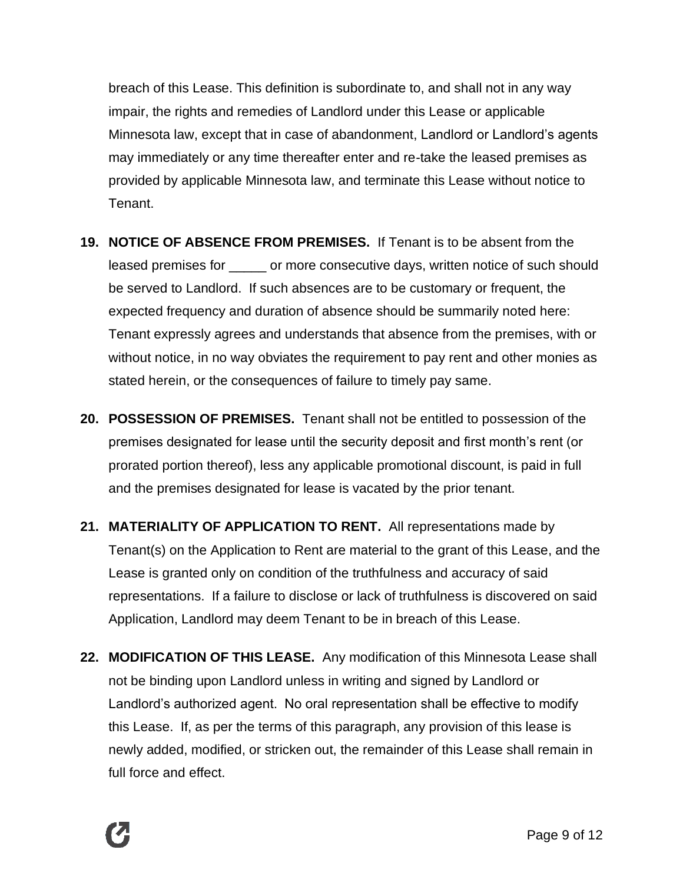breach of this Lease. This definition is subordinate to, and shall not in any way impair, the rights and remedies of Landlord under this Lease or applicable Minnesota law, except that in case of abandonment, Landlord or Landlord's agents may immediately or any time thereafter enter and re-take the leased premises as provided by applicable Minnesota law, and terminate this Lease without notice to Tenant.

- **19. NOTICE OF ABSENCE FROM PREMISES.** If Tenant is to be absent from the leased premises for extending or more consecutive days, written notice of such should be served to Landlord. If such absences are to be customary or frequent, the expected frequency and duration of absence should be summarily noted here: Tenant expressly agrees and understands that absence from the premises, with or without notice, in no way obviates the requirement to pay rent and other monies as stated herein, or the consequences of failure to timely pay same.
- **20. POSSESSION OF PREMISES.** Tenant shall not be entitled to possession of the premises designated for lease until the security deposit and first month's rent (or prorated portion thereof), less any applicable promotional discount, is paid in full and the premises designated for lease is vacated by the prior tenant.
- **21. MATERIALITY OF APPLICATION TO RENT.** All representations made by Tenant(s) on the Application to Rent are material to the grant of this Lease, and the Lease is granted only on condition of the truthfulness and accuracy of said representations. If a failure to disclose or lack of truthfulness is discovered on said Application, Landlord may deem Tenant to be in breach of this Lease.
- **22. MODIFICATION OF THIS LEASE.** Any modification of this Minnesota Lease shall not be binding upon Landlord unless in writing and signed by Landlord or Landlord's authorized agent. No oral representation shall be effective to modify this Lease. If, as per the terms of this paragraph, any provision of this lease is newly added, modified, or stricken out, the remainder of this Lease shall remain in full force and effect.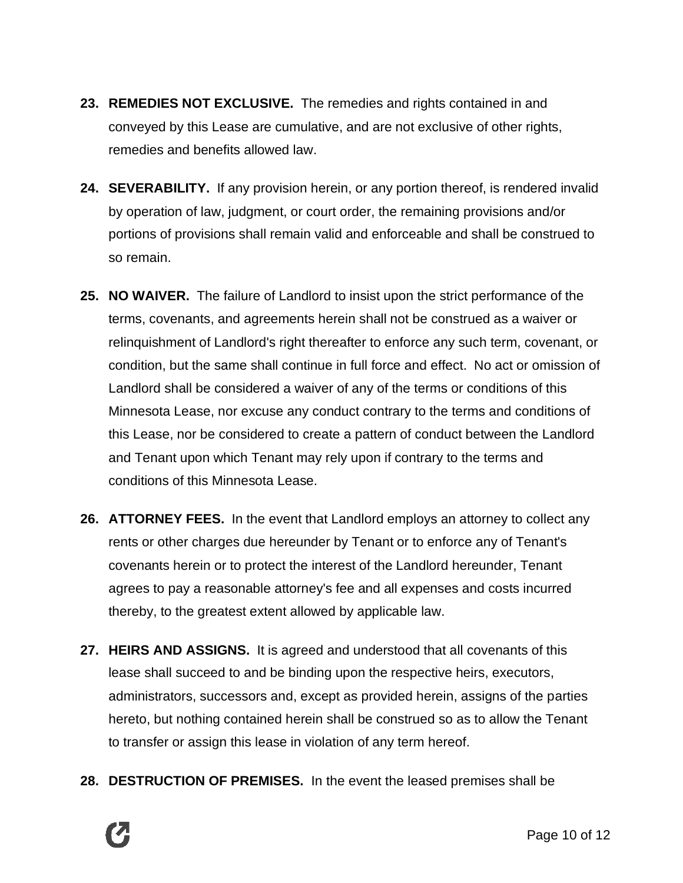- **23. REMEDIES NOT EXCLUSIVE.** The remedies and rights contained in and conveyed by this Lease are cumulative, and are not exclusive of other rights, remedies and benefits allowed law.
- **24. SEVERABILITY.** If any provision herein, or any portion thereof, is rendered invalid by operation of law, judgment, or court order, the remaining provisions and/or portions of provisions shall remain valid and enforceable and shall be construed to so remain.
- **25. NO WAIVER.** The failure of Landlord to insist upon the strict performance of the terms, covenants, and agreements herein shall not be construed as a waiver or relinquishment of Landlord's right thereafter to enforce any such term, covenant, or condition, but the same shall continue in full force and effect. No act or omission of Landlord shall be considered a waiver of any of the terms or conditions of this Minnesota Lease, nor excuse any conduct contrary to the terms and conditions of this Lease, nor be considered to create a pattern of conduct between the Landlord and Tenant upon which Tenant may rely upon if contrary to the terms and conditions of this Minnesota Lease.
- **26. ATTORNEY FEES.** In the event that Landlord employs an attorney to collect any rents or other charges due hereunder by Tenant or to enforce any of Tenant's covenants herein or to protect the interest of the Landlord hereunder, Tenant agrees to pay a reasonable attorney's fee and all expenses and costs incurred thereby, to the greatest extent allowed by applicable law.
- **27. HEIRS AND ASSIGNS.** It is agreed and understood that all covenants of this lease shall succeed to and be binding upon the respective heirs, executors, administrators, successors and, except as provided herein, assigns of the parties hereto, but nothing contained herein shall be construed so as to allow the Tenant to transfer or assign this lease in violation of any term hereof.
- **28. DESTRUCTION OF PREMISES.** In the event the leased premises shall be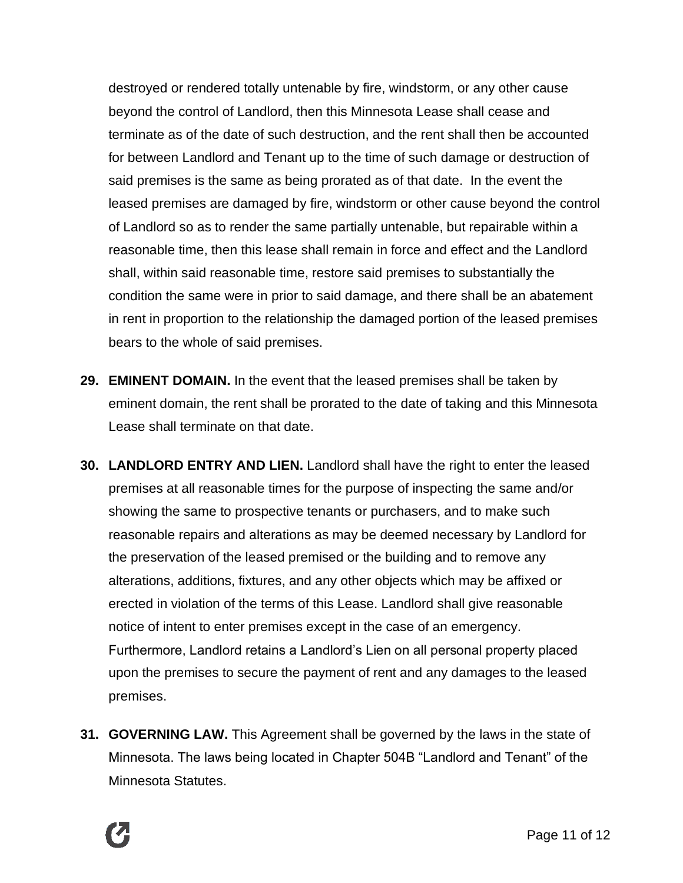destroyed or rendered totally untenable by fire, windstorm, or any other cause beyond the control of Landlord, then this Minnesota Lease shall cease and terminate as of the date of such destruction, and the rent shall then be accounted for between Landlord and Tenant up to the time of such damage or destruction of said premises is the same as being prorated as of that date. In the event the leased premises are damaged by fire, windstorm or other cause beyond the control of Landlord so as to render the same partially untenable, but repairable within a reasonable time, then this lease shall remain in force and effect and the Landlord shall, within said reasonable time, restore said premises to substantially the condition the same were in prior to said damage, and there shall be an abatement in rent in proportion to the relationship the damaged portion of the leased premises bears to the whole of said premises.

- **29. EMINENT DOMAIN.** In the event that the leased premises shall be taken by eminent domain, the rent shall be prorated to the date of taking and this Minnesota Lease shall terminate on that date.
- **30. LANDLORD ENTRY AND LIEN.** Landlord shall have the right to enter the leased premises at all reasonable times for the purpose of inspecting the same and/or showing the same to prospective tenants or purchasers, and to make such reasonable repairs and alterations as may be deemed necessary by Landlord for the preservation of the leased premised or the building and to remove any alterations, additions, fixtures, and any other objects which may be affixed or erected in violation of the terms of this Lease. Landlord shall give reasonable notice of intent to enter premises except in the case of an emergency. Furthermore, Landlord retains a Landlord's Lien on all personal property placed upon the premises to secure the payment of rent and any damages to the leased premises.
- **31. GOVERNING LAW.** This Agreement shall be governed by the laws in the state of Minnesota. The laws being located in Chapter 504B "Landlord and Tenant" of the Minnesota Statutes.